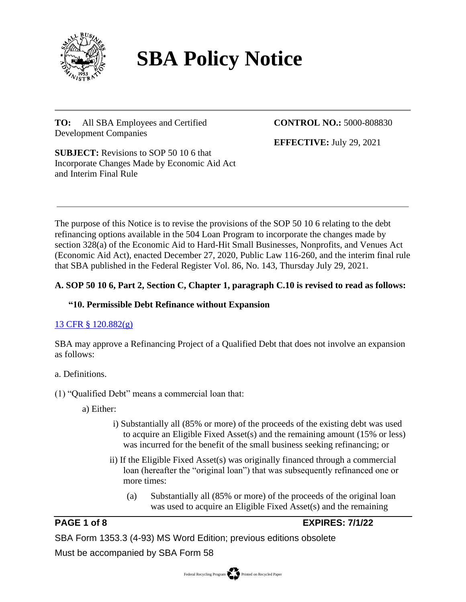

# **SBA Policy Notice**

**TO:** All SBA Employees and Certified Development Companies

# **CONTROL NO.:** 5000-808830

**EFFECTIVE:** July 29, 2021

**SUBJECT:** Revisions to SOP 50 10 6 that Incorporate Changes Made by Economic Aid Act and Interim Final Rule

The purpose of this Notice is to revise the provisions of the SOP 50 10 6 relating to the debt refinancing options available in the 504 Loan Program to incorporate the changes made by section 328(a) of the Economic Aid to Hard-Hit Small Businesses, Nonprofits, and Venues Act (Economic Aid Act), enacted December 27, 2020, Public Law 116-260, and the interim final rule that SBA published in the Federal Register Vol. 86, No. 143, Thursday July 29, 2021.

# **A. SOP 50 10 6, Part 2, Section C, Chapter 1, paragraph C.10 is revised to read as follows:**

# **"10. Permissible Debt Refinance without Expansion**

# [13 CFR § 120.882\(g\)](https://www.ecfr.gov/cgi-bin/text-idx?SID=9167c514c6e3c8b27d6b805bf67e9336&mc=true&node=pt13.1.120&rgn=div5#se13.1.120_1882)

SBA may approve a Refinancing Project of a Qualified Debt that does not involve an expansion as follows:

# a. Definitions.

# (1) "Qualified Debt" means a commercial loan that:

- a) Either:
	- i) Substantially all (85% or more) of the proceeds of the existing debt was used to acquire an Eligible Fixed Asset(s) and the remaining amount (15% or less) was incurred for the benefit of the small business seeking refinancing; or
	- ii) If the Eligible Fixed Asset(s) was originally financed through a commercial loan (hereafter the "original loan") that was subsequently refinanced one or more times:
		- (a) Substantially all (85% or more) of the proceeds of the original loan was used to acquire an Eligible Fixed Asset(s) and the remaining

# **PAGE 1 of 8 EXPIRES: 7/1/22**

SBA Form 1353.3 (4-93) MS Word Edition; previous editions obsolete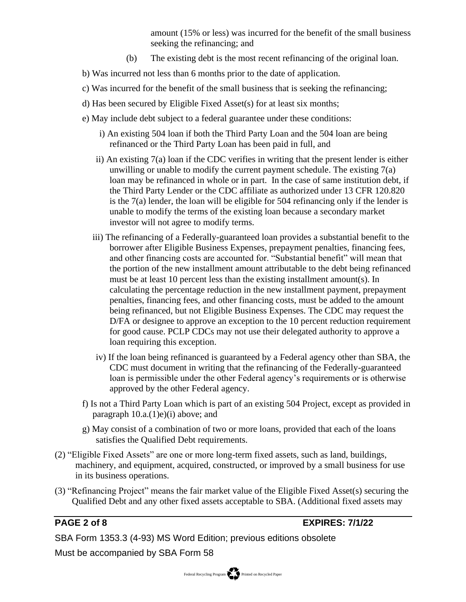amount (15% or less) was incurred for the benefit of the small business seeking the refinancing; and

- (b) The existing debt is the most recent refinancing of the original loan.
- b) Was incurred not less than 6 months prior to the date of application.
- c) Was incurred for the benefit of the small business that is seeking the refinancing;
- d) Has been secured by Eligible Fixed Asset(s) for at least six months;
- e) May include debt subject to a federal guarantee under these conditions:
	- i) An existing 504 loan if both the Third Party Loan and the 504 loan are being refinanced or the Third Party Loan has been paid in full, and
	- ii) An existing 7(a) loan if the CDC verifies in writing that the present lender is either unwilling or unable to modify the current payment schedule. The existing 7(a) loan may be refinanced in whole or in part. In the case of same institution debt, if the Third Party Lender or the CDC affiliate as authorized under 13 CFR 120.820 is the 7(a) lender, the loan will be eligible for 504 refinancing only if the lender is unable to modify the terms of the existing loan because a secondary market investor will not agree to modify terms.
	- iii) The refinancing of a Federally-guaranteed loan provides a substantial benefit to the borrower after Eligible Business Expenses, prepayment penalties, financing fees, and other financing costs are accounted for. "Substantial benefit" will mean that the portion of the new installment amount attributable to the debt being refinanced must be at least 10 percent less than the existing installment amount(s). In calculating the percentage reduction in the new installment payment, prepayment penalties, financing fees, and other financing costs, must be added to the amount being refinanced, but not Eligible Business Expenses. The CDC may request the D/FA or designee to approve an exception to the 10 percent reduction requirement for good cause. PCLP CDCs may not use their delegated authority to approve a loan requiring this exception.
	- iv) If the loan being refinanced is guaranteed by a Federal agency other than SBA, the CDC must document in writing that the refinancing of the Federally-guaranteed loan is permissible under the other Federal agency's requirements or is otherwise approved by the other Federal agency.
- f) Is not a Third Party Loan which is part of an existing 504 Project, except as provided in paragraph  $10.a.(1)e)(i)$  above; and
- g) May consist of a combination of two or more loans, provided that each of the loans satisfies the Qualified Debt requirements.
- (2) "Eligible Fixed Assets" are one or more long-term fixed assets, such as land, buildings, machinery, and equipment, acquired, constructed, or improved by a small business for use in its business operations.
- (3) "Refinancing Project" means the fair market value of the Eligible Fixed Asset(s) securing the Qualified Debt and any other fixed assets acceptable to SBA. (Additional fixed assets may

# **PAGE 2 of 8 EXPIRES: 7/1/22**

SBA Form 1353.3 (4-93) MS Word Edition; previous editions obsolete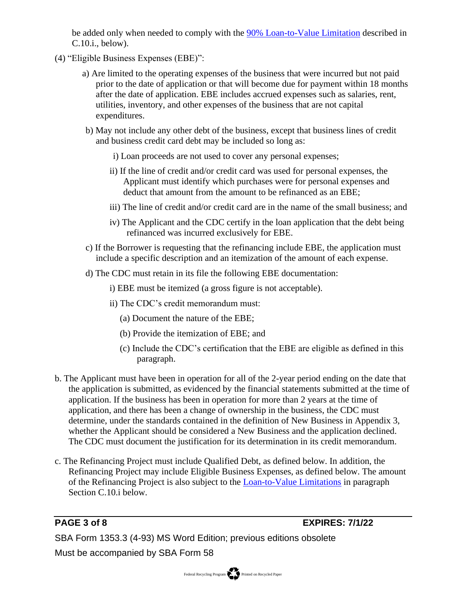be added only when needed to comply with the  $90\%$  Loan-to-Value Limitation described in C.10.i., below).

- (4) "Eligible Business Expenses (EBE)":
	- a) Are limited to the operating expenses of the business that were incurred but not paid prior to the date of application or that will become due for payment within 18 months after the date of application. EBE includes accrued expenses such as salaries, rent, utilities, inventory, and other expenses of the business that are not capital expenditures.
	- b) May not include any other debt of the business, except that business lines of credit and business credit card debt may be included so long as:
		- i) Loan proceeds are not used to cover any personal expenses;
		- ii) If the line of credit and/or credit card was used for personal expenses, the Applicant must identify which purchases were for personal expenses and deduct that amount from the amount to be refinanced as an EBE;
		- iii) The line of credit and/or credit card are in the name of the small business; and
		- iv) The Applicant and the CDC certify in the loan application that the debt being refinanced was incurred exclusively for EBE.
	- c) If the Borrower is requesting that the refinancing include EBE, the application must include a specific description and an itemization of the amount of each expense.
	- d) The CDC must retain in its file the following EBE documentation:
		- i) EBE must be itemized (a gross figure is not acceptable).
		- ii) The CDC's credit memorandum must:
			- (a) Document the nature of the EBE;
			- (b) Provide the itemization of EBE; and
			- (c) Include the CDC's certification that the EBE are eligible as defined in this paragraph.
- b. The Applicant must have been in operation for all of the 2-year period ending on the date that the application is submitted, as evidenced by the financial statements submitted at the time of application. If the business has been in operation for more than 2 years at the time of application, and there has been a change of ownership in the business, the CDC must determine, under the standards contained in the definition of New Business in Appendix 3, whether the Applicant should be considered a New Business and the application declined. The CDC must document the justification for its determination in its credit memorandum.
- c. The Refinancing Project must include Qualified Debt, as defined below. In addition, the Refinancing Project may include Eligible Business Expenses, as defined below. The amount of the Refinancing Project is also subject to the [Loan-to-Value Limitations](#page-3-0) in paragraph Section C.10.i below.

**PAGE 3 of 8 EXPIRES: 7/1/22**

SBA Form 1353.3 (4-93) MS Word Edition; previous editions obsolete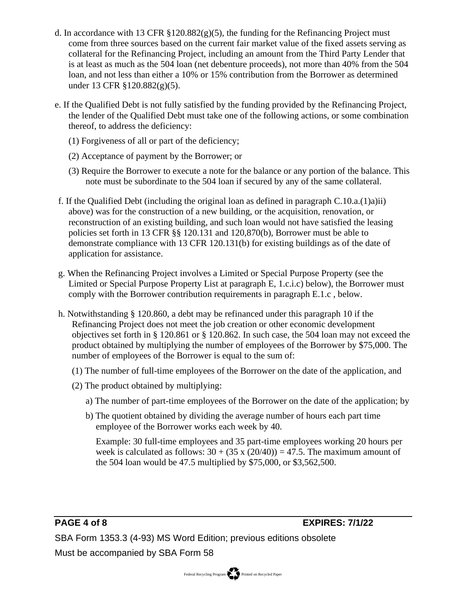- d. In accordance with 13 CFR  $\S 120.882(g)(5)$ , the funding for the Refinancing Project must come from three sources based on the current fair market value of the fixed assets serving as collateral for the Refinancing Project, including an amount from the Third Party Lender that is at least as much as the 504 loan (net debenture proceeds), not more than 40% from the 504 loan, and not less than either a 10% or 15% contribution from the Borrower as determined under 13 CFR §120.882(g)(5).
- e. If the Qualified Debt is not fully satisfied by the funding provided by the Refinancing Project, the lender of the Qualified Debt must take one of the following actions, or some combination thereof, to address the deficiency:
	- (1) Forgiveness of all or part of the deficiency;
	- (2) Acceptance of payment by the Borrower; or
	- (3) Require the Borrower to execute a note for the balance or any portion of the balance. This note must be subordinate to the 504 loan if secured by any of the same collateral.
- f. If the Qualified Debt (including the original loan as defined in paragraph  $C.10.a.(1)a$ )ii) above) was for the construction of a new building, or the acquisition, renovation, or reconstruction of an existing building, and such loan would not have satisfied the leasing policies set forth in 13 CFR §§ 120.131 and 120,870(b), Borrower must be able to demonstrate compliance with 13 CFR 120.131(b) for existing buildings as of the date of application for assistance.
- g. When the Refinancing Project involves a Limited or Special Purpose Property (see the Limited or Special Purpose Property List at paragraph E, 1.c.i.c) below), the Borrower must comply with the Borrower contribution requirements in paragraph E.1.c , below.
- <span id="page-3-0"></span>h. Notwithstanding § 120.860, a debt may be refinanced under this paragraph 10 if the Refinancing Project does not meet the job creation or other economic development objectives set forth in § 120.861 or § 120.862. In such case, the 504 loan may not exceed the product obtained by multiplying the number of employees of the Borrower by \$75,000. The number of employees of the Borrower is equal to the sum of:
	- (1) The number of full-time employees of the Borrower on the date of the application, and
	- (2) The product obtained by multiplying:
		- a) The number of part-time employees of the Borrower on the date of the application; by
		- b) The quotient obtained by dividing the average number of hours each part time employee of the Borrower works each week by 40.

Example: 30 full-time employees and 35 part-time employees working 20 hours per week is calculated as follows:  $30 + (35 \times (20/40)) = 47.5$ . The maximum amount of the 504 loan would be 47.5 multiplied by \$75,000, or \$3,562,500.

**PAGE 4 of 8 EXPIRES: 7/1/22**

SBA Form 1353.3 (4-93) MS Word Edition; previous editions obsolete

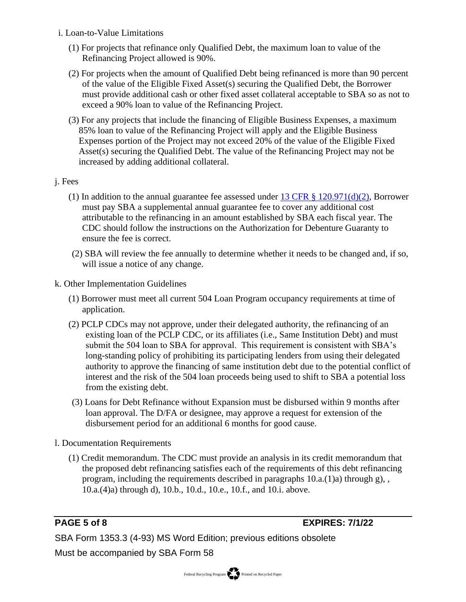- i. Loan-to-Value Limitations
	- (1) For projects that refinance only Qualified Debt, the maximum loan to value of the Refinancing Project allowed is 90%.
	- (2) For projects when the amount of Qualified Debt being refinanced is more than 90 percent of the value of the Eligible Fixed Asset(s) securing the Qualified Debt, the Borrower must provide additional cash or other fixed asset collateral acceptable to SBA so as not to exceed a 90% loan to value of the Refinancing Project.
	- (3) For any projects that include the financing of Eligible Business Expenses, a maximum 85% loan to value of the Refinancing Project will apply and the Eligible Business Expenses portion of the Project may not exceed 20% of the value of the Eligible Fixed Asset(s) securing the Qualified Debt. The value of the Refinancing Project may not be increased by adding additional collateral.

### j. Fees

- (1) In addition to the annual guarantee fee assessed under  $13 \text{ CFR}$  §  $120.971\text{(d)}(2)$ , Borrower must pay SBA a supplemental annual guarantee fee to cover any additional cost attributable to the refinancing in an amount established by SBA each fiscal year. The CDC should follow the instructions on the Authorization for Debenture Guaranty to ensure the fee is correct.
- (2) SBA will review the fee annually to determine whether it needs to be changed and, if so, will issue a notice of any change.
- k. Other Implementation Guidelines
	- (1) Borrower must meet all current 504 Loan Program occupancy requirements at time of application.
	- (2) PCLP CDCs may not approve, under their delegated authority, the refinancing of an existing loan of the PCLP CDC, or its affiliates (i.e., Same Institution Debt) and must submit the 504 loan to SBA for approval. This requirement is consistent with SBA's long-standing policy of prohibiting its participating lenders from using their delegated authority to approve the financing of same institution debt due to the potential conflict of interest and the risk of the 504 loan proceeds being used to shift to SBA a potential loss from the existing debt.
	- (3) Loans for Debt Refinance without Expansion must be disbursed within 9 months after loan approval. The D/FA or designee, may approve a request for extension of the disbursement period for an additional 6 months for good cause.
- l. Documentation Requirements
	- (1) Credit memorandum. The CDC must provide an analysis in its credit memorandum that the proposed debt refinancing satisfies each of the requirements of this debt refinancing program, including the requirements described in paragraphs 10.a.(1)a) through g), , 10.a.(4)a) through d), 10.b., 10.d., 10.e., 10.f., and 10.i. above.

**PAGE 5 of 8 EXPIRES: 7/1/22**

SBA Form 1353.3 (4-93) MS Word Edition; previous editions obsolete

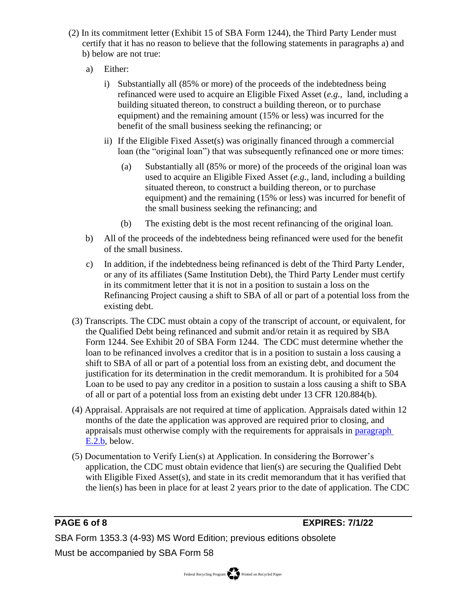- (2) In its commitment letter (Exhibit 15 of SBA Form 1244), the Third Party Lender must certify that it has no reason to believe that the following statements in paragraphs a) and b) below are not true:
	- a) Either:
		- i) Substantially all (85% or more) of the proceeds of the indebtedness being refinanced were used to acquire an Eligible Fixed Asset (*e.g.,* land, including a building situated thereon, to construct a building thereon, or to purchase equipment) and the remaining amount (15% or less) was incurred for the benefit of the small business seeking the refinancing; or
		- ii) If the Eligible Fixed Asset(s) was originally financed through a commercial loan (the "original loan") that was subsequently refinanced one or more times:
			- (a) Substantially all (85% or more) of the proceeds of the original loan was used to acquire an Eligible Fixed Asset (*e.g.,* land, including a building situated thereon, to construct a building thereon, or to purchase equipment) and the remaining (15% or less) was incurred for benefit of the small business seeking the refinancing; and
			- (b) The existing debt is the most recent refinancing of the original loan.
	- b) All of the proceeds of the indebtedness being refinanced were used for the benefit of the small business.
	- c) In addition, if the indebtedness being refinanced is debt of the Third Party Lender, or any of its affiliates (Same Institution Debt), the Third Party Lender must certify in its commitment letter that it is not in a position to sustain a loss on the Refinancing Project causing a shift to SBA of all or part of a potential loss from the existing debt.
- (3) Transcripts. The CDC must obtain a copy of the transcript of account, or equivalent, for the Qualified Debt being refinanced and submit and/or retain it as required by SBA Form 1244. See Exhibit 20 of SBA Form 1244. The CDC must determine whether the loan to be refinanced involves a creditor that is in a position to sustain a loss causing a shift to SBA of all or part of a potential loss from an existing debt, and document the justification for its determination in the credit memorandum. It is prohibited for a 504 Loan to be used to pay any creditor in a position to sustain a loss causing a shift to SBA of all or part of a potential loss from an existing debt under 13 CFR 120.884(b).
- (4) Appraisal. Appraisals are not required at time of application. Appraisals dated within 12 months of the date the application was approved are required prior to closing, and appraisals must otherwise comply with the requirements for appraisals in paragraph E.2.b, below.
- (5) Documentation to Verify Lien(s) at Application. In considering the Borrower's application, the CDC must obtain evidence that lien(s) are securing the Qualified Debt with Eligible Fixed Asset(s), and state in its credit memorandum that it has verified that the lien(s) has been in place for at least 2 years prior to the date of application. The CDC

**PAGE 6 of 8 EXPIRES: 7/1/22**

SBA Form 1353.3 (4-93) MS Word Edition; previous editions obsolete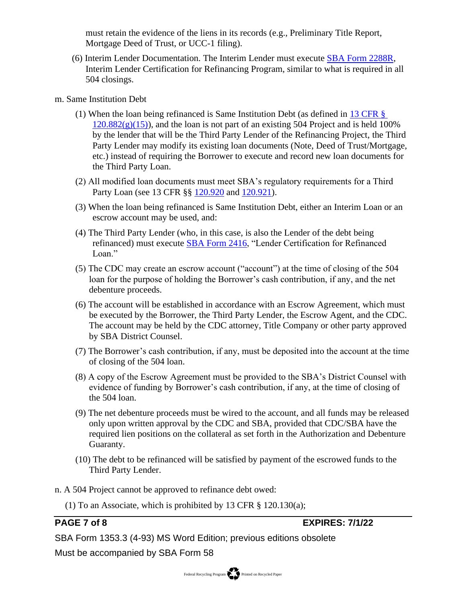must retain the evidence of the liens in its records (e.g., Preliminary Title Report, Mortgage Deed of Trust, or UCC-1 filing).

- (6) Interim Lender Documentation. The Interim Lender must execute [SBA Form 2288R,](https://www.sba.gov/document/sba-form-2288r-interim-lender-certification-refinanced-loan) Interim Lender Certification for Refinancing Program, similar to what is required in all 504 closings.
- m. Same Institution Debt
	- (1) When the loan being refinanced is Same Institution Debt (as defined in [13 CFR §](https://www.ecfr.gov/cgi-bin/text-idx?SID=9167c514c6e3c8b27d6b805bf67e9336&mc=true&node=pt13.1.120&rgn=div5#se13.1.120_1882)   $120.882(g)(15)$ , and the loan is not part of an existing 504 Project and is held 100% by the lender that will be the Third Party Lender of the Refinancing Project, the Third Party Lender may modify its existing loan documents (Note, Deed of Trust/Mortgage, etc.) instead of requiring the Borrower to execute and record new loan documents for the Third Party Loan.
	- (2) All modified loan documents must meet SBA's regulatory requirements for a Third Party Loan (see 13 CFR §§ [120.920](https://www.ecfr.gov/cgi-bin/text-idx?SID=9167c514c6e3c8b27d6b805bf67e9336&mc=true&node=pt13.1.120&rgn=div5#se13.1.120_1920) and [120.921\)](https://www.ecfr.gov/cgi-bin/text-idx?SID=9167c514c6e3c8b27d6b805bf67e9336&mc=true&node=pt13.1.120&rgn=div5#se13.1.120_1921).
	- (3) When the loan being refinanced is Same Institution Debt, either an Interim Loan or an escrow account may be used, and:
	- (4) The Third Party Lender (who, in this case, is also the Lender of the debt being refinanced) must execute [SBA Form 2416,](https://www.sba.gov/document/sba-form-2416-lender-certification-refinanced-loan) "Lender Certification for Refinanced Loan."
	- (5) The CDC may create an escrow account ("account") at the time of closing of the 504 loan for the purpose of holding the Borrower's cash contribution, if any, and the net debenture proceeds.
	- (6) The account will be established in accordance with an Escrow Agreement, which must be executed by the Borrower, the Third Party Lender, the Escrow Agent, and the CDC. The account may be held by the CDC attorney, Title Company or other party approved by SBA District Counsel.
	- (7) The Borrower's cash contribution, if any, must be deposited into the account at the time of closing of the 504 loan.
	- (8) A copy of the Escrow Agreement must be provided to the SBA's District Counsel with evidence of funding by Borrower's cash contribution, if any, at the time of closing of the 504 loan.
	- (9) The net debenture proceeds must be wired to the account, and all funds may be released only upon written approval by the CDC and SBA, provided that CDC/SBA have the required lien positions on the collateral as set forth in the Authorization and Debenture Guaranty.
	- (10) The debt to be refinanced will be satisfied by payment of the escrowed funds to the Third Party Lender.
- n. A 504 Project cannot be approved to refinance debt owed:
	- (1) To an Associate, which is prohibited by 13 CFR § 120.130(a);

**PAGE 7 of 8 EXPIRES: 7/1/22**

SBA Form 1353.3 (4-93) MS Word Edition; previous editions obsolete